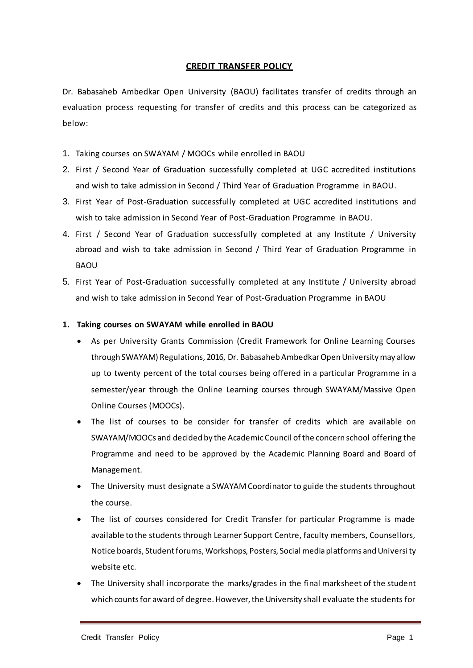## **CREDIT TRANSFER POLICY**

Dr. Babasaheb Ambedkar Open University (BAOU) facilitates transfer of credits through an evaluation process requesting for transfer of credits and this process can be categorized as below:

- 1. Taking courses on SWAYAM / MOOCs while enrolled in BAOU
- 2. First / Second Year of Graduation successfully completed at UGC accredited institutions and wish to take admission in Second / Third Year of Graduation Programme in BAOU.
- 3. First Year of Post-Graduation successfully completed at UGC accredited institutions and wish to take admission in Second Year of Post-Graduation Programme in BAOU.
- 4. First / Second Year of Graduation successfully completed at any Institute / University abroad and wish to take admission in Second / Third Year of Graduation Programme in BAOU
- 5. First Year of Post-Graduation successfully completed at any Institute / University abroad and wish to take admission in Second Year of Post-Graduation Programme in BAOU

## **1. Taking courses on SWAYAM while enrolled in BAOU**

- As per University Grants Commission (Credit Framework for Online Learning Courses through SWAYAM) Regulations, 2016, Dr. Babasaheb Ambedkar Open University may allow up to twenty percent of the total courses being offered in a particular Programme in a semester/year through the Online Learning courses through SWAYAM/Massive Open Online Courses (MOOCs).
- The list of courses to be consider for transfer of credits which are available on SWAYAM/MOOCs and decided by the Academic Council of the concern school offering the Programme and need to be approved by the Academic Planning Board and Board of Management.
- The University must designate a SWAYAM Coordinator to guide the students throughout the course.
- The list of courses considered for Credit Transfer for particular Programme is made available to the students through Learner Support Centre, faculty members, Counsellors, Notice boards, Student forums, Workshops, Posters, Social media platforms and University website etc.
- The University shall incorporate the marks/grades in the final marksheet of the student which counts for award of degree. However, the University shall evaluate the students for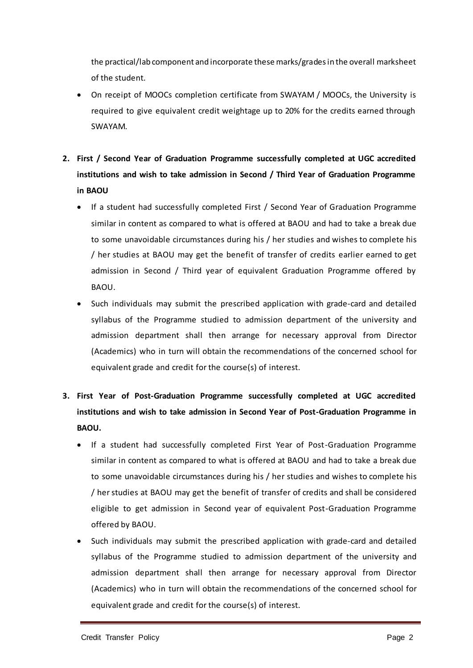the practical/lab component and incorporate these marks/gradesin the overall marksheet of the student.

- On receipt of MOOCs completion certificate from SWAYAM / MOOCs, the University is required to give equivalent credit weightage up to 20% for the credits earned through SWAYAM.
- **2. First / Second Year of Graduation Programme successfully completed at UGC accredited institutions and wish to take admission in Second / Third Year of Graduation Programme in BAOU**
	- If a student had successfully completed First / Second Year of Graduation Programme similar in content as compared to what is offered at BAOU and had to take a break due to some unavoidable circumstances during his / her studies and wishes to complete his / her studies at BAOU may get the benefit of transfer of credits earlier earned to get admission in Second / Third year of equivalent Graduation Programme offered by BAOU.
	- Such individuals may submit the prescribed application with grade-card and detailed syllabus of the Programme studied to admission department of the university and admission department shall then arrange for necessary approval from Director (Academics) who in turn will obtain the recommendations of the concerned school for equivalent grade and credit for the course(s) of interest.
- **3. First Year of Post-Graduation Programme successfully completed at UGC accredited institutions and wish to take admission in Second Year of Post-Graduation Programme in BAOU.**
	- If a student had successfully completed First Year of Post-Graduation Programme similar in content as compared to what is offered at BAOU and had to take a break due to some unavoidable circumstances during his / her studies and wishes to complete his / herstudies at BAOU may get the benefit of transfer of credits and shall be considered eligible to get admission in Second year of equivalent Post-Graduation Programme offered by BAOU.
	- Such individuals may submit the prescribed application with grade-card and detailed syllabus of the Programme studied to admission department of the university and admission department shall then arrange for necessary approval from Director (Academics) who in turn will obtain the recommendations of the concerned school for equivalent grade and credit for the course(s) of interest.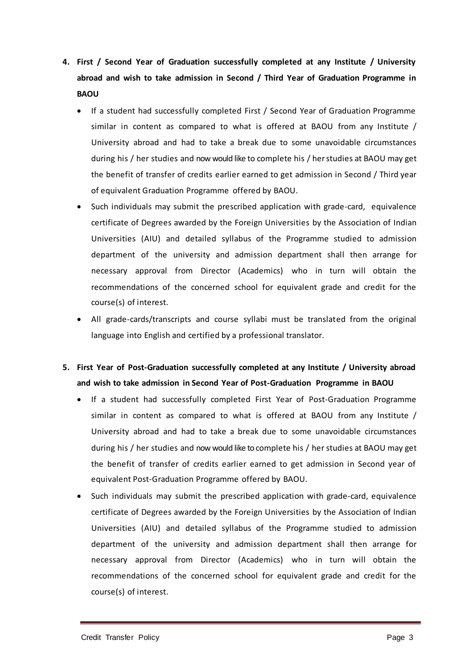- **4. First / Second Year of Graduation successfully completed at any Institute / University abroad and wish to take admission in Second / Third Year of Graduation Programme in BAOU**
	- If a student had successfully completed First / Second Year of Graduation Programme similar in content as compared to what is offered at BAOU from any Institute / University abroad and had to take a break due to some unavoidable circumstances during his / her studies and now would like to complete his / herstudies at BAOU may get the benefit of transfer of credits earlier earned to get admission in Second / Third year of equivalent Graduation Programme offered by BAOU.
	- Such individuals may submit the prescribed application with grade-card, equivalence certificate of Degrees awarded by the Foreign Universities by the Association of Indian Universities (AIU) and detailed syllabus of the Programme studied to admission department of the university and admission department shall then arrange for necessary approval from Director (Academics) who in turn will obtain the recommendations of the concerned school for equivalent grade and credit for the course(s) of interest.
	- All grade-cards/transcripts and course syllabi must be translated from the original language into English and certified by a professional translator.
- **5. First Year of Post-Graduation successfully completed at any Institute / University abroad and wish to take admission in Second Year of Post-Graduation Programme in BAOU**
	- If a student had successfully completed First Year of Post-Graduation Programme similar in content as compared to what is offered at BAOU from any Institute / University abroad and had to take a break due to some unavoidable circumstances during his / her studies and now would like to complete his / her studies at BAOU may get the benefit of transfer of credits earlier earned to get admission in Second year of equivalent Post-Graduation Programme offered by BAOU.
	- Such individuals may submit the prescribed application with grade-card, equivalence certificate of Degrees awarded by the Foreign Universities by the Association of Indian Universities (AIU) and detailed syllabus of the Programme studied to admission department of the university and admission department shall then arrange for necessary approval from Director (Academics) who in turn will obtain the recommendations of the concerned school for equivalent grade and credit for the course(s) of interest.